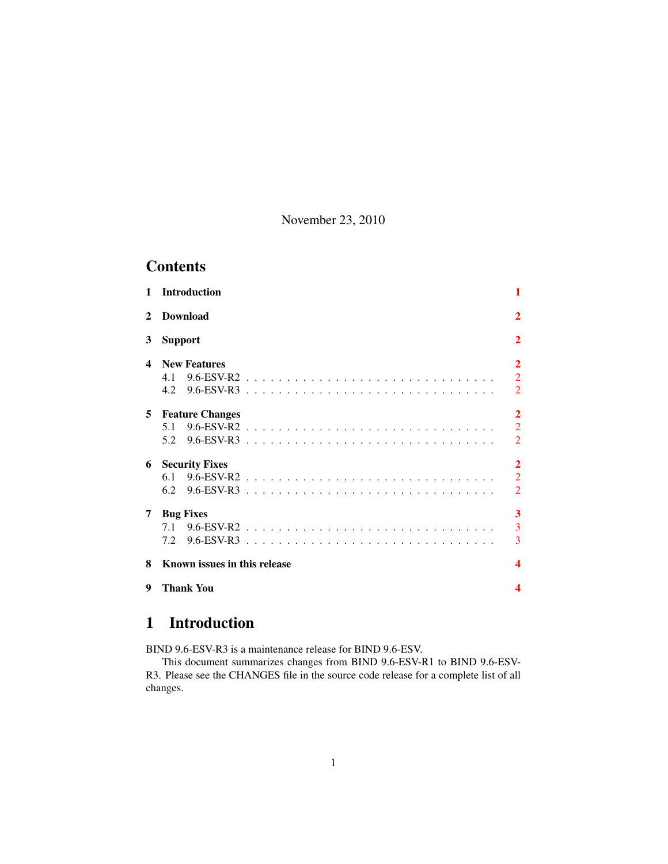November 23, 2010

# **Contents**

| $\mathbf{1}$ | <b>Introduction</b>          | 1              |
|--------------|------------------------------|----------------|
| $\mathbf{2}$ | <b>Download</b>              | $\overline{2}$ |
| 3            | <b>Support</b>               | $\overline{2}$ |
| $\Delta$     | <b>New Features</b>          | $\overline{2}$ |
|              | 4.1                          | $\overline{2}$ |
|              | 4.2                          | $\overline{2}$ |
| 5            | <b>Feature Changes</b>       | $\overline{2}$ |
|              | 5.1                          | $\overline{2}$ |
|              | 5.2                          | $\overline{2}$ |
| 6            | <b>Security Fixes</b>        | $\overline{2}$ |
|              | 6.1                          | $\overline{2}$ |
|              | 6.2                          | $\overline{2}$ |
| 7            | <b>Bug Fixes</b>             | 3              |
|              |                              | $\overline{3}$ |
|              |                              | 3              |
| 8            | Known issues in this release |                |
| 9            | <b>Thank You</b>             |                |

# <span id="page-0-0"></span>1 Introduction

BIND 9.6-ESV-R3 is a maintenance release for BIND 9.6-ESV.

This document summarizes changes from BIND 9.6-ESV-R1 to BIND 9.6-ESV-R3. Please see the CHANGES file in the source code release for a complete list of all changes.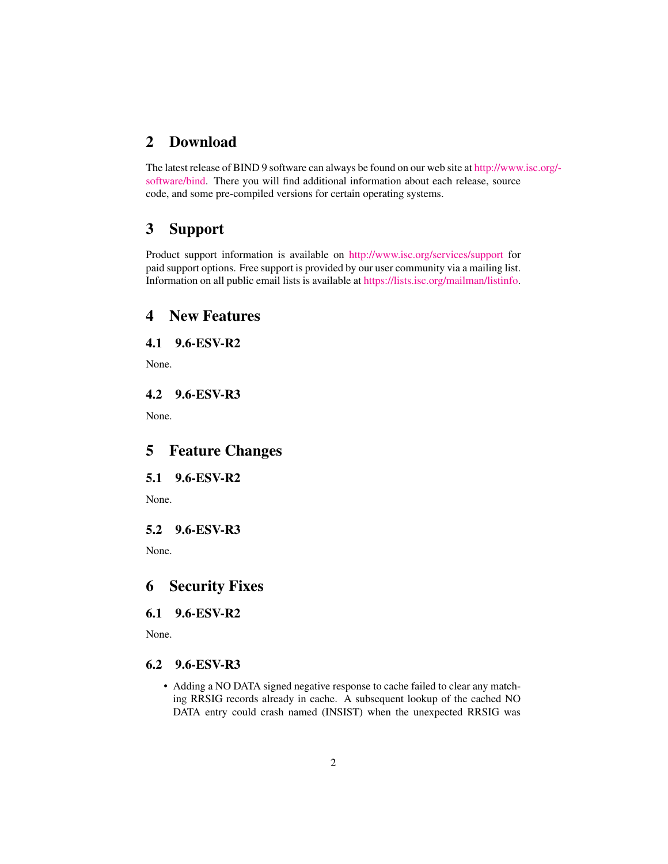### <span id="page-1-0"></span>2 Download

The latest release of BIND 9 software can always be found on our web site at [http://www](http://www.isc.org/software/bind).isc.org/ [software/bind.](http://www.isc.org/software/bind) There you will find additional information about each release, source code, and some pre-compiled versions for certain operating systems.

# <span id="page-1-1"></span>3 Support

Product support information is available on <http://www.isc.org/services/support> for paid support options. Free support is provided by our user community via a mailing list. Information on all public email lists is available at [https://lists.isc.org/mailman/listinfo.](https://lists.isc.org/mailman/listinfo)

## <span id="page-1-2"></span>4 New Features

### <span id="page-1-3"></span>4.1 9.6-ESV-R2

None.

<span id="page-1-4"></span>4.2 9.6-ESV-R3

None.

# <span id="page-1-5"></span>5 Feature Changes

#### <span id="page-1-6"></span>5.1 9.6-ESV-R2

None.

### <span id="page-1-7"></span>5.2 9.6-ESV-R3

None.

### <span id="page-1-8"></span>6 Security Fixes

#### <span id="page-1-9"></span>6.1 9.6-ESV-R2

None.

### <span id="page-1-10"></span>6.2 9.6-ESV-R3

• Adding a NO DATA signed negative response to cache failed to clear any matching RRSIG records already in cache. A subsequent lookup of the cached NO DATA entry could crash named (INSIST) when the unexpected RRSIG was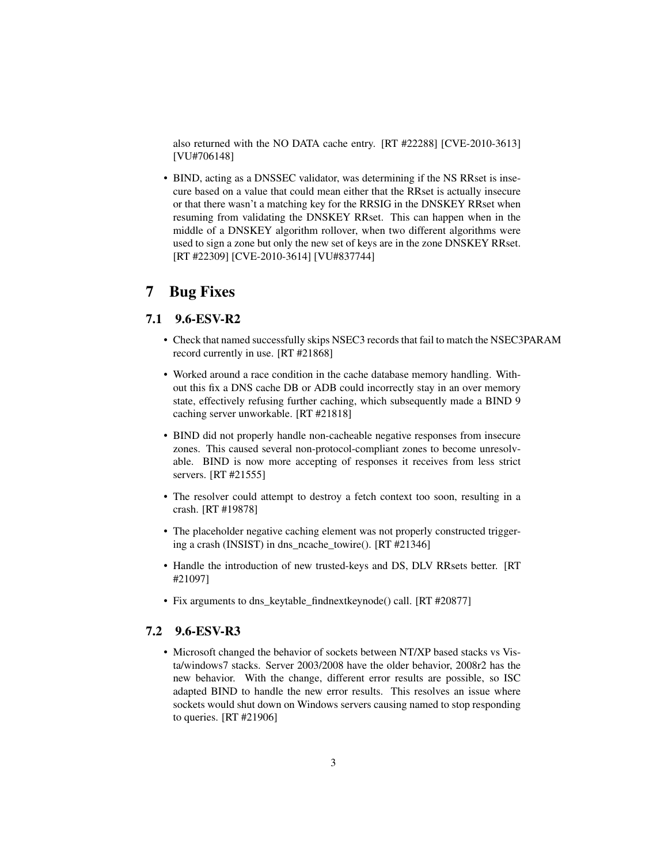also returned with the NO DATA cache entry. [RT #22288] [CVE-2010-3613] [VU#706148]

• BIND, acting as a DNSSEC validator, was determining if the NS RRset is insecure based on a value that could mean either that the RRset is actually insecure or that there wasn't a matching key for the RRSIG in the DNSKEY RRset when resuming from validating the DNSKEY RRset. This can happen when in the middle of a DNSKEY algorithm rollover, when two different algorithms were used to sign a zone but only the new set of keys are in the zone DNSKEY RRset. [RT #22309] [CVE-2010-3614] [VU#837744]

## <span id="page-2-0"></span>7 Bug Fixes

### <span id="page-2-1"></span>7.1 9.6-ESV-R2

- Check that named successfully skips NSEC3 records that fail to match the NSEC3PARAM record currently in use. [RT #21868]
- Worked around a race condition in the cache database memory handling. Without this fix a DNS cache DB or ADB could incorrectly stay in an over memory state, effectively refusing further caching, which subsequently made a BIND 9 caching server unworkable. [RT #21818]
- BIND did not properly handle non-cacheable negative responses from insecure zones. This caused several non-protocol-compliant zones to become unresolvable. BIND is now more accepting of responses it receives from less strict servers. [RT #21555]
- The resolver could attempt to destroy a fetch context too soon, resulting in a crash. [RT #19878]
- The placeholder negative caching element was not properly constructed triggering a crash (INSIST) in dns\_ncache\_towire(). [RT #21346]
- Handle the introduction of new trusted-keys and DS, DLV RRsets better. [RT #21097]
- Fix arguments to dns\_keytable\_findnextkeynode() call. [RT #20877]

#### <span id="page-2-2"></span>7.2 9.6-ESV-R3

• Microsoft changed the behavior of sockets between NT/XP based stacks vs Vista/windows7 stacks. Server 2003/2008 have the older behavior, 2008r2 has the new behavior. With the change, different error results are possible, so ISC adapted BIND to handle the new error results. This resolves an issue where sockets would shut down on Windows servers causing named to stop responding to queries. [RT #21906]